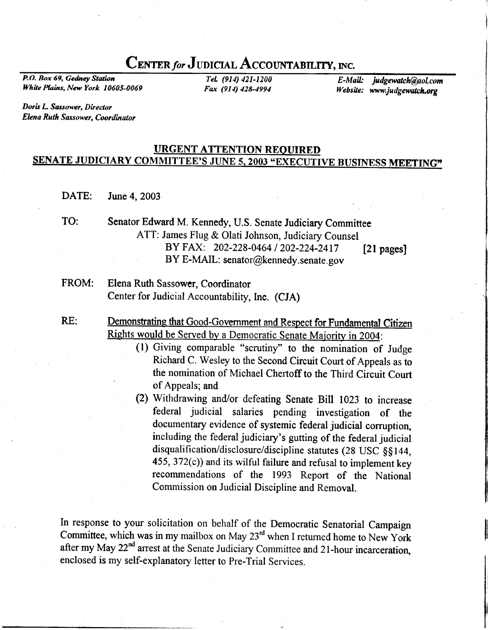# CENTER for JUDICIAL ACCOUNTABILITY, INC.

P.O. Box 69, Gedney Station White Plains, New York 10605-0069

TeL (914) 421-1200 Fax (911) 428-4994

E-Mail: judgewatch@aol.com Website: www.judgewatch.org

Doris L Sassower, Director Elena Ruth Sassower, Coordinator

## URGENT ATTENTION REQUIRED SENATE JUDICIARY COMMITTEE'S JUNE 5, 2003 "EXECUTIVE BUSINESS MEETING"

- DATE: June 4, 2003
- Senator Edward M. Kennedy, U.S. Senate Judiciary Committee ATT: James Flug & Olati Johnson, Judiciary Counsel BY FAX: 202-228-0464 / 202-224-2417 BY E-MAIL: senator@kennedy.senate.gov TO: [21 pages]
- Elena Ruth Sassower, Coordinator Center for Judicial Accountability, Inc. (CJA) FROM:
- RE: Demonstrating that Good-Government and Respect for Fundamental Citizen Rights would be Served by a Democratic Senate Majority in 2004:
	- (l) Giving comparable "scrutiny" to the nomination of Judge Richard C. Wesley to the Second Circuit Court of Appeals as to the nomination of Michael Chertoff to the Third Circuit Court of Appeals; and
	- (2) Withdrawing and/or defeating Senate Bill 1023 to increase federal judicial salaries pending investigation of the including the federal judiciary's gutting of the federal judicial disqualification/disclosure/discipline statutes (28 USC §§144,  $455$ ,  $372(c)$ ) and its wilful failure and refusal to implement key recommendations of the 1993 Report of the National Commission on Judicial Discipline and Removal.

In response to your solicitation on behalf of the Democratic Senatorial Campaign Committee, which was in my mailbox on May  $23<sup>rd</sup>$  when I returned home to New York after my May 22<sup>nd</sup> arrest at the Senate Judiciary Committee and 21-hour incarceration, enclosed is my self-explanatory letter to Pre-Trial Services.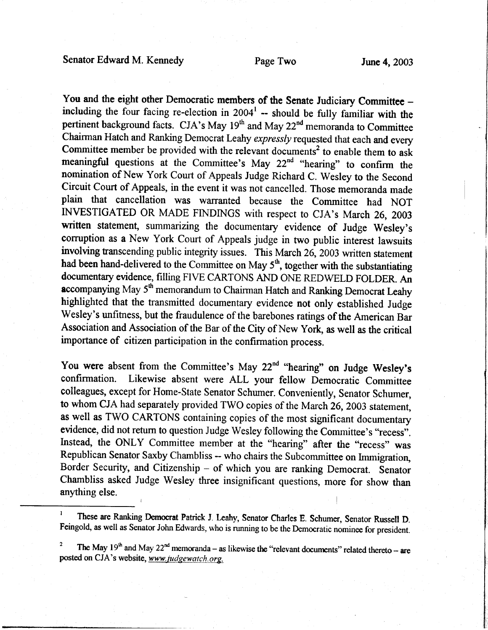### Senator Edward M. Kennedy Page Two June 4, 2003

You and the eight other Democratic members of the Senate Judiciary Committee including the four facing re-election in  $2004<sup>1</sup>$  -- should be fully familiar with the pertinent background facts. CJA's May 19<sup>th</sup> and May 22<sup>nd</sup> memoranda to Committee Chairman Hatch and Ranking Democrat Leahy expressly requested that each and every Committee member be provided with the relevant documents<sup>2</sup> to enable them to ask meaningful questions at the Committee's May  $22<sup>nd</sup>$  "hearing" to confirm the nomination of New York Court of Appeals Judge Richard C. Wesley to the Second Circuit Court of Appeals, in the event it was not cancelled. Those memoranda made plain that cancellation was warranted because the Committee had NOT INVESTIGATED OR MADE FINDINGS with respect to CJA's March 26, 2003 written statement, summarizing the documentary evidence of Judge Wesley's corruption as a New York Court of Appeals judge in two public interest lawsuits involving transcending public integrity issues. This March 26, 2003 written statement had been hand-delivered to the Committee on May  $5<sup>th</sup>$ , together with the substantiating documentary evidence, filling FIVE CARTONS AND ONE REDWELD FOLDER. An accompanying May  $5<sup>th</sup>$  memorandum to Chairman Hatch and Ranking Democrat Leahy highlighted that the transmitted documentary evidence not only established Judge Wesley's unfitness, but the fraudulence of the barebones ratings of the American Bar Association and Association of the Bar of the City of New York, as well as the critical importance of citizen participation in the confirmation process.

You were absent from the Committee's May  $22<sup>nd</sup>$  "hearing" on Judge Wesley's confirmation. Likewise absent were ALL your fellow Democratic Committee colleagues, except for Home-State Senator Schumer. Conveniently, Senator Schumer, to whom CJA had separately provided TWO copies of the March 26, 2003 statement, as well as TWO CARTONS containing copies of the most significant documentary evidence, did not return to question Judge Wesley following the Committee's "recess". Instead, the ONLY Committee member at the "hearing" after the "recess" was Republican Senator Saxby Chambliss - who chairs the Subcommittee on Immigration, Border Security, and Citizenship - of which you are ranking Democrat. Senator Chambliss asked Judge Wesley three insignificant questions, more for show than anything else.

These are Ranking Democrat Patrick J. Leahy, Senator Charles E. Schumer, Senator Russell D. Feingold, as well as Senator John Edwards, who is running to be the Democratic nominee for president.

The May  $19<sup>th</sup>$  and May  $22<sup>nd</sup>$  memoranda – as likewise the "relevant documents" related thereto – are posted on CJA's website, www.judgewatch.org.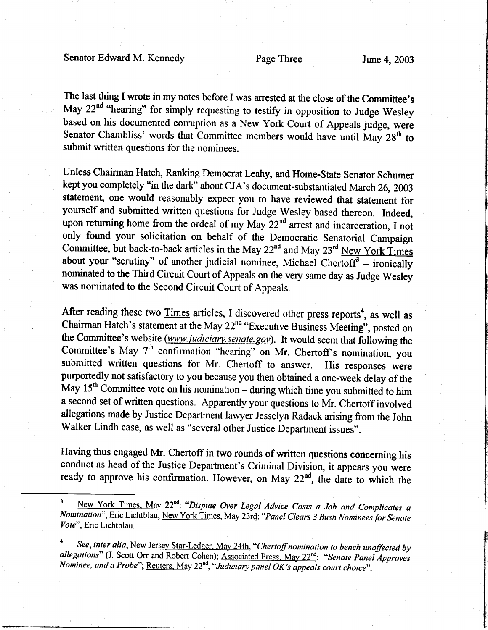Senator Edward M. Kennedy Page Three June 4, 2003

The last thing I wrote in my notes before I was arrested at the close of the Committee's May 22<sup>nd</sup> "hearing" for simply requesting to testify in opposition to Judge Wesley based on his documented corruption as a New York Court of Appeals judge, were Senator Chambliss' words that Committee members would have until May  $28<sup>th</sup>$  to submit written questions for the nominees.

Unless Chairman Hatch, Ranking Democrat Leahy, and Home-State Senator Schumer kept you completely "in the dark" about CJA's document-substantiated March 26, 2003 statement, one would reasonably expect you to have reviewed that statement for yourself and submitted written questions for Judge Wesley based thereon. Indeed, upon returning home from the ordeal of my May 22<sup>nd</sup> arrest and incarceration, I not only found your solicitation on behalf of the Democratic Senatorial Campaign Committee, but back-to-back articles in the May  $22^{nd}$  and May  $23^{rd}$  New York Times about your "scrutiny" of another judicial nominee, Michael Chertoff $3 -$ ironically nominated to the Third Circuit Court of Appeals on the very same day as Judge Wesley was nominated to the Second Circuit Court of Appeals.

After reading these two Times articles, I discovered other press reports<sup>4</sup>, as well as Chairman Hatch's statement at the May 22<sup>nd</sup> "Executive Business Meeting", posted on the Committee's website (www.judiciary.senate.gov). It would seem that following the Committee's May 7<sup>th</sup> confirmation "hearing" on Mr. Chertoff's nomination, you submitted written questions for Mr. Chertoff to answer. His responses were purportedly not satisfactory to you because you then obtained a one-week delay of the May  $15<sup>th</sup>$  Committee vote on his nomination – during which time you submitted to him a second set of written questions. Apparently your questions to Mr. Chertoff involved allegations made by Justice Department lawyer Jesselyn Radack arising from the John Walker Lindh case, as well as "several other Justice Departrnent issues".

Having thus engaged Mr. Chertoff in two rounds of written questions concerning his conduct as head of the Justice Department's Criminal Division, it appears you were ready to approve his confirmation. However, on May  $22<sup>nd</sup>$ , the date to which the

<sup>&</sup>lt;sup>3</sup> New York Times, May 22<sup>nd</sup>: "Dispute Over Legal Advice Costs a Job and Complicates a Nomination", Eric Lichtblau; New York Times. Mav 23rd: "Panel Clears 3 Bush Nominees for Senate Vote", Eric Lichtblau.

See, inter alia, New Jersey Star-Ledger, May 24th, "Chertoff nomination to bench unaffected by allegations" (J. Scott Orr and Robert Cohen); Associated Press, May 22<sup>nd</sup>: "Senate Panel Approves Nominee, and a Probe"; Reuters, May  $22<sup>nd</sup>$ , "Judiciary panel OK's appeals court choice".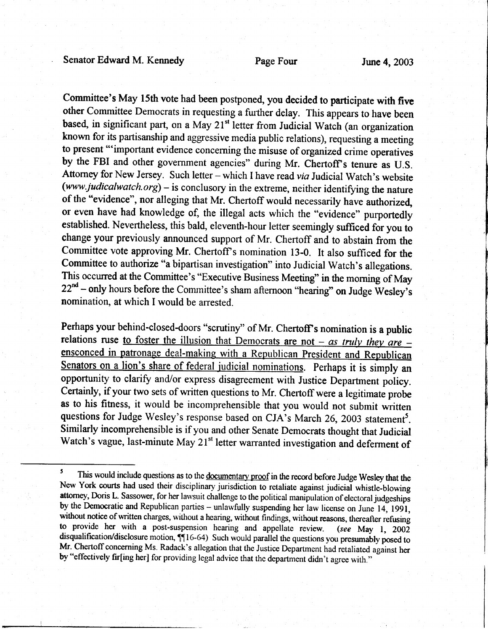Committee's May l5th vote had been postponed, you decided to participate with five other Committee Democrats in requesting a further delay. This appears to have been based, in significant part, on a May 21<sup>st</sup> letter from Judicial Watch (an organization known for its partisanship and aggressive media public relations), requesting a meeting to present "'important evidence concerning the misuse of organized crime operatives by the FBI and other government agencies" during Mr. Chertoff's tenure as U.S. Attorney for New Jersey. Such letter - which I have read via Judicial Watch's website (www.judicalwatch.org) – is conclusory in the extreme, neither identifying the nature of the "evidence", nor alleging that Mr. Chertoff would necessarily have authorized, or even have had knowledge of, the illegal acts which the "evidence" purportedly established. Nevertheless, this bald, eleventh-hour letter seemingly sufficed for you to change your previously announced support of Mr. Chertoff and to abstain from the Committee vote approving Mr. Chertoff s nomination l3-0. It also sufficed for the Committee to authorize "a bipartisan investigation" into Judicial Watch's allegations. This occurred at the Committee's "Executive Business Meeting" in the morning of May  $22<sup>nd</sup>$  – only hours before the Committee's sham afternoon "hearing" on Judge Wesley's nomination, at which I would be arrested.

Perhaps your behind-closed-doors "scrutiny" of Mr. Chertoff's nomination is a public relations ruse to foster the illusion that Democrats are not  $-$  as truly they are  $-$  ensconced in patronage deal-making with a Republican President and Republican Senators on a lion's share of federal judicial nominations. Perhaps it is simply an opportunity to clarify and/or express disagreement with Justice Department policy. Certainly, if your two sets of written questions to Mr. Chertoff were a legitimate probe as to his fitness, it would be incomprehensible that you would not submit written questions for Judge Wesley's response based on CJA's March 26, 2003 statement<sup>5</sup>. Similarly incomprehensible is if you and other Senate Democrats thought that Judicial Watch's vague, last-minute May 21<sup>st</sup> letter warranted investigation and deferment of

<sup>&</sup>lt;sup>5</sup> This would include questions as to the <u>documentary proof</u> in the record before Judge Wesley that the New York courts had used their disciplinary jurisdiction to retaliate against judiciai whistle-blowing attorney, Doris L. Sassower, for her lawsuit challenge to the political manipulation of electoral judgeships by the Democratic and Republican parties - unlawfully suspending her law license on June 14, 1991, without notice of written charges, without a hearing, without findings, without reasons, thereafter refusing to provide her with a post-suspension hearing and appellate review. (see May 1,  $200\overline{2}$ disqualification/disclosure motion,  $\P$ 16-64) Such would parallel the questions you presumably posed to Mr. Chertoff concerning Ms. Radack's allegation that the Justice Department had retaliated against her by "effectively fir[ing her] for providing legal advice that the department didn't agree with."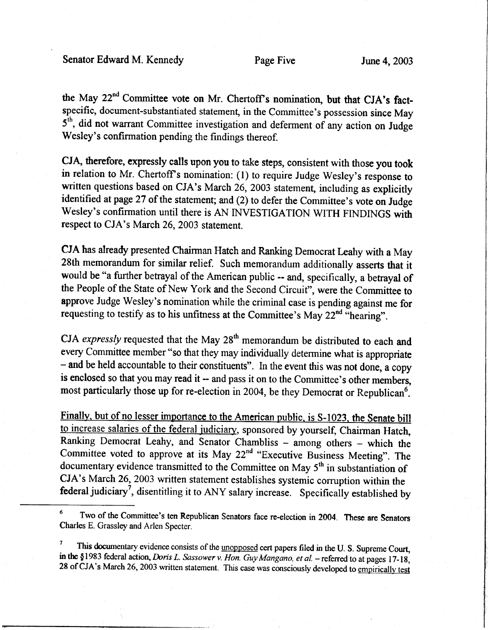Senator Edward M. Kennedy Page Five June 4, 2003

the May 22<sup>nd</sup> Committee vote on Mr. Chertoff's nomination, but that CJA's factspecific, document-substantiated statement, in the Committee's possession since May  $5<sup>th</sup>$ , did not warrant Committee investigation and deferment of any action on Judge Wesley's confirmation pending the findings thereof.

CJA, therefore, expressly calls upon you to take steps, consistent with those you took in relation to Mr. Chertoff's nomination: (1) to require Judge Wesley's response to written questions based on CJA's March 26, 2003 statement, including as explicitly identified at page 27 of the statement; and (2) to defer the Committee's vote on Judge Wesley's confirmation until there is AN INVESTIGATION WITH FINDINGS with respect to CJA's March 26,2003 statement.

CJA has already presented Chairman Hatch and Ranking Democrat Leahy with a May 28th memorandum for similar relief. Such memorandum additionally asserts that it would be "a further betrayal of the American public -- and, specifically, a befiayal of the People of the State of New York and the Second Circuit", were the Commiffee to approve Judge Wesley's nomination while the criminal case is pending against me for requesting to testify as to his unfitness at the Committee's May  $22^{nd}$  "hearing".

CJA expressly requested that the May  $28<sup>th</sup>$  memorandum be distributed to each and every Committee member "so that they may individually determine what is appropriate - and be held accountable to their constituents". In the event this was not done, a copy is enclosed so that you may read it -- and pass it on to the Committee's other members, most particularly those up for re-election in 2004, be they Democrat or Republican<sup>6</sup>.

Finally, but of no lesser importance to the American public, is S-1023, the Senate bill to increase salaries of the federal judiciary, sponsored by yourself, Chairman Hatch, Ranking Democrat Leahy, and Senator Chambliss - among others - which the Committee voted to approve at its May 22<sup>nd</sup> "Executive Business Meeting". The documentary evidence transmitted to the Committee on May 5<sup>th</sup> in substantiation of CJA's March 26, 2003 written statement establishes systemic corruption within the federal judiciary<sup>7</sup>, disentitling it to ANY salary increase. Specifically established by

<sup>&</sup>lt;sup>6</sup> Two of the Committee's ten Republican Senators face re-election in 2004. These are Senators Charles E. Grassley and Arlen Specter.

This documentary evidence consists of the unopposed cert papers filed in the U. S. Supreme Court, in the  $$1983$  federal action, Doris L. Sassower v. Hon. Guy Mangano, et al. - referred to at pages 17-18, 28 of CJA's March 26, 2003 written statement. This case was consciously developed to empirically test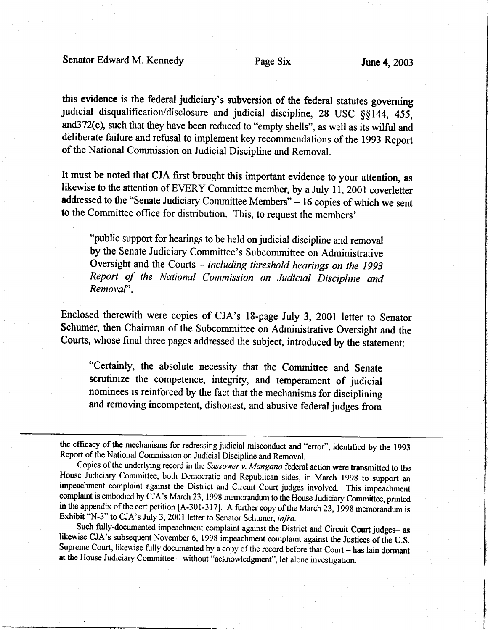this evidence is the federal judiciary's subversion of the federal statutes governing judicial disqualification/disclosure and judicial discipline, 28 USC §§144, 455, and372(c), such that they have been reduced to "empty shells", as well as its wilful and deliberate failure and refusal to implement key recommendations of the 1993 Report of the National commission on Judicial Discipline and Removal.

It must be noted that CJA first brought this important evidence to your attention, as likewise to the attention of EVERY Committee member, by a July 11, 2001 coverletter addressed to the "Senate Judiciary Committee Members" - 16 copies of which we sent to the Committee office for distribution. This, to request the members'

"public support for hearings to be held on judicial discipline and removal by the Senate Judiciary Committee's Subcommittee on Administrative Oversight and the Courts - including threshold hearings on the 1993 Report of the National Commission on Judicial Discipline and Removaf'.

Enclosed therewith were copies of CJA's l8-page July 3, 2001 letter to Senator Schumer, then Chairman of the Subcommittee on Administrative Oversight and the Courts, whose final three pages addressed the subject, inffoduced by the statement:

"certainly, the absolute necessity that the Committee and Senate scrutinize the competence, integrity, and temperament of judicial nominees is reinforced by the fact that the mechanisms for disciplining and removing incompetent, dishonest, and abusive federal judges from

the eflicacy of the mechanisms for redressing judicial misconduct and "error", identified by the 1993 Report of the National Commission on Judicial Discipline and Removal.

Copies of the underlying record in the Sassower v. Mangano federal action were transmitted to the House Judiciary Committee, both Democratic and Republican sides, in March 1998 to support an impeachment complaint against the District and Circuit Court judges involved. This impeachment complaint is embodied by CJA's March 23, 1998 memorandum to the House Judiciary Committee, printed in the appendix of the cert petition [A-301-317]. A further copy of the March 23, 1998 memorandum is Exhibit "N-3" to CJA's July 3, 2001 letter to Senator Schumer, infra.

Such fully-documented impeachment complaint against the District and Circuit Court judges- as likewise CJA's subsequent November 6, 1998 impeachment complaint against the Justices of the U.S. Supreme Court, likewise fully documented by a copy of the record before that Court - has lain dormant at the House Judiciary Committee - without "acknowledgment", let alone investigation.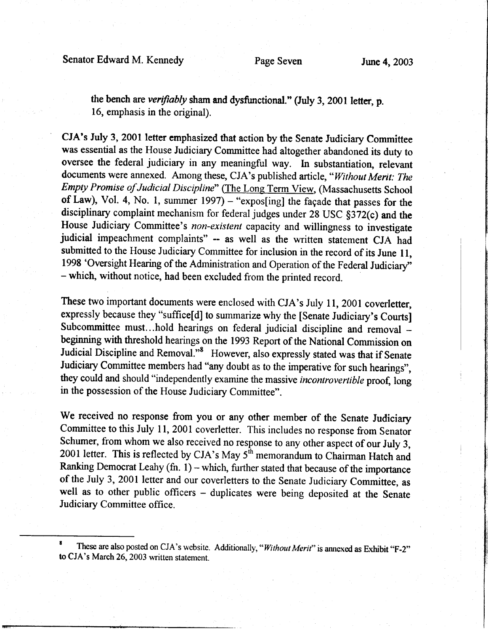the bench are verifiably sham and dysfunctional." (July 3, 2001 letter, p. 16, emphasis in the original).

CJA's July 3, 2001 letter emphasized that action by the Senate Judiciary Committee was essential as the House Judiciary Committee had altogether abandoned its duty to oversee the federal judiciary in any meaningful way. In substantiation, relevant documents were annexed. Among these, CJA's published article, "Without Merit: The Empty Promise of Judicial Discipline" (The Long Term View, (Massachusetts School of Law), Vol. 4, No. 1, summer  $1997$ ) - "expos[ing] the façade that passes for the disciplinary complaint mechanism for federal judges under 28 USC §372(c) and the House Judiciary Committee's non-existent capacity and willingness to investigate judicial impeachment complaints" -- as well as the written statement CJA had submitted to the House Judiciary Committee for inclusion in the record of its June 11, 1998 'Oversight Hearing of the Administration and Operation of the Federal Judiciary" - which, without notice, had been excluded from the printed record.

These two important documents were enclosed with CJA's July 11, 2001 coverletter, expressly because they "suffice[d] to summarize why the [Senate Judiciary's Courts] Subcommittee must...hold hearings on federal judicial discipline and removal beginning with threshold hearings on the 1993 Report of the National Commission on Judicial Discipline and Removal."<sup>8</sup> However, also expressly stated was that if Senate Judiciary Committee members had "any doubt as to the imperative for such hearings", they could and should "independently examine the massive incontrovertible proof, long in the possession of the House Judiciary Committee".

We received no response from you or any other member of the Senate Judiciary Committee to this July 11, 2001 coverletter. This includes no response from Senator Schumer, from whom we also received no response to any other aspect of our July 3, 2001 letter. This is reflected by CJA's May 5'h memorandum to Chairman Hatch and Ranking Democrat Leahy (fn.  $1$ ) – which, further stated that because of the importance of the July 3, 2001 letter and our coverletters to the Senate Judiciary Committee, as well as to other public officers - duplicates were being deposited at the Senate Judiciary Committee office.

These are also posted on CJA's website. Additionally, "Without Merit" is annexed as Exhibit "F-2" to CJA's March 26,2003 written statement.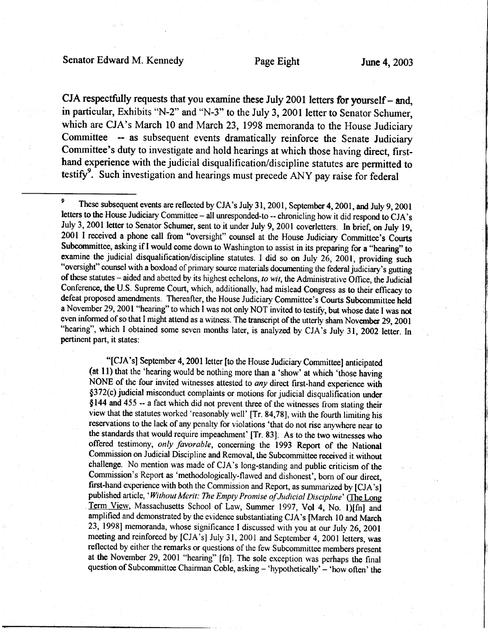### Senator Edward M. Kennedy Page Eight June 4, 2003

CJA respectfully requests that you examine these July 2001 letters for yourself  $-$  and, in particular, Exhibits "N-2" and "N-3" to the July 3, 2001 letter to Senator Schumer, which are CJA's March 10 and March 23, 1998 memoranda to the House Judiciary Committee -- as subsequent events dramatically reinforce the Senate Judiciary Committee's duty to investigate and hold hearings at which those having direct, firsthand experience with the judicial disqualification/discipline statutes are permiffed to testify<sup>9</sup>. Such investigation and hearings must precede ANY pay raise for federal

"[CJA's] September 4, 2001 letter [to the House Judiciary Committee] anticipated (at  $11$ ) that the 'hearing would be nothing more than a 'show' at which 'those having NONE of the four invited witnesses attested to any direct first-hand experience with \$372(c) judicial misconduct complaints or motions for judicial disqualification under \$144 and 455 -- a fact which did not prevent three of the witnesses from stating their view that the statutes worked 'reasonably well' [Tr. 84,78], with the fourth limiting his reservations to the lack of any penalty for violations 'that do not rise anywhere near to the standards that would require impeachment' [Tr. 83]. As to the two witnesses who offered testimony, only favorable, conceming the 1993 Report of the National Commission on Judicial Discipline and Removal, the Subcommittee received it without challenge. No mention was made of CJA's long-standing and public criticism of the Commission's Report as 'methodologically-flawed and dishonest', born of our direct, first-hand experience with both the Commission and Report, as summarized by [CJA's] published article, 'Without Merit: The Empty Promise of Judicial Discipline' (The Long Term View, Massachusetts School of Law, Summer 1997, Vol 4, No. 1)[fn] and amplified and demonstrated by the evidence substantiating CJA's [March 10 and March 23, 19981memoranda, whose significance I discussed with you at our July 26,2001 meeting and reinforced by [CJA's] July 31, 2001 and September 4, 2001 letters, was reflected by either the remarks or questions of the few Subcommittee members present at the November 29, 2001 "hearing" [fn]. The sole exception was perhaps the final question of Subcommittee Chairman Coble, asking - 'hypothetically' - 'how often' the

<sup>&</sup>lt;sup>9</sup> These subsequent events are reflected by CJA's July 31, 2001, September 4, 2001, and July 9, 2001 letters to the House Judiciary Committee - all unresponded-to -- chronicling how it did respond to CJA's July 3, 2001 letter to Senator Schumer, sent to it under July 9, 2001 coverletters. In brief, on July 19, 2001 I received a phone call from "oversight" counsel at the House Judiciary Committee's Courts Subcommittee, asking if I would come down to Washington to assist in its preparing for a "hearing" to examine the judicial disqualification/discipline statutes. I did so on July 26, 2001, providing such "oversight" counsel with a boxload of primary source materials documenting the federal judiciary's gutting of these statutes - aided and abetted by its highest echelons, to wit, the Administrative Office, the Judicial Conference, the U.S. Supreme Court, which, additionally, had mislead Congress as to their efficacy to defeat proposed amendments. Thereafter, the House Judiciary Committee's Courts Subcommittee held a November 29, 2001 "hearing" to which I was not only NOT invited to testify, but whose date I was not even informed of so that I might attend as a witness. The transcript of the utterly sham November 29, 2001 "hearing", which I obtained some seven months later, is analyzed by CJA's July 31, 2002 letter. In pertinent part, it states: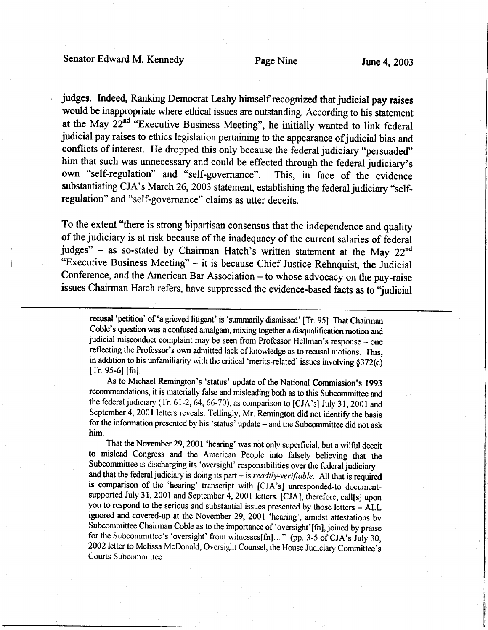judges. Indeed, Ranking Democrat Leahy himself recognized that judicial pay raises would be inappropriate where ethical issues are outstanding. According to his statement at the May  $22^{nd}$  "Executive Business Meeting", he initially wanted to link federal judicial pay raises to ethics legislation pertaining to the appearance of judicial bias and conflicts of interest. He dropped this only because the federal judiciary "persuaded" him that such was unnecessary and could be effected through the federal judiciary's own "self-regulation" and "self-governance". This, in face of the evidence substantiating CJA's March 26, 2003 statement, establishing the federal judiciary "selfregulation" and "self-governance" claims as utter deceits.

To the extent "there is strong bipartisan consensus that the independence and quality of the judiciary is at risk because of the inadequacy of the current salaries of federal judges"  $-$  as so-stated by Chairman Hatch's written statement at the May 22<sup>nd</sup> "Executive Business Meeting" - it is because Chief Justice Rehnquist, the Judicial Conference, and the American Bar Association - to whose advocacy on the pay-raise issues Chairman Hatch refers, have suppressed the evidence-based facts as to "judicial

recusal 'petition' of 'a grieved litigant' is 'summarily dismissed' [Tr. 95]. That Chairman Coble's question was a confused amalgam, mixing together a disqualification motion and judicial misconduct complaint may be seen from Professor Hellman's response - one reflecting the Professor's own admitted lack of knowledge as to recusal motions. This, in addition to his unfamiliarity with the critical 'merits-related' issues involving  $§372(c)$  $[Tr. 95-6] [fn]$ .

As to Michael Rcmington's 'status' updatc of the National commission's 1993 recommendations, it is materially false and misleading both as to this Subcommittee and the federal judiciary (Tr. 61-2, 64, 66-70), as comparison to [CJA's] July 31, 2001 and September 4, 2001 letters reveals. Tellingly, Mr. Remington did not identify the basis for the information presented by his 'status' update - and the Subcommittee did not ask him.

That the November 29, 2001 'hearing' was not only superficial, but a wilful deceit to mislead Congress and the American People into falsely believing that the Subcommittee is discharging its 'oversight' responsibilities over the federal judiciary and that the federal judiciary is doing its part  $-$  is *readily-verifiable*. All that is required is comparison of the 'hearing' transcript with [CJA's] unresponded-to documentsupported July 31, 2001 and September 4, 2001 letters. [CJA], therefore, call[s] upon you to respond to the serious and substantial issues presented by those letters - ALL ignored and covered-up at the November 29,2001 'hearing', amidst attestations by Subcommittee Chairman Coble as to the importance of 'oversight'[fn], joined by praise For the Subcommittee's 'oversight' from witnesses[fn]..." (pp. 3-5 of CJA's July 30, 2002 letter to Melissa McDonald, Oversight Counsel, the House Judiciary Committee's Courts Subcommittee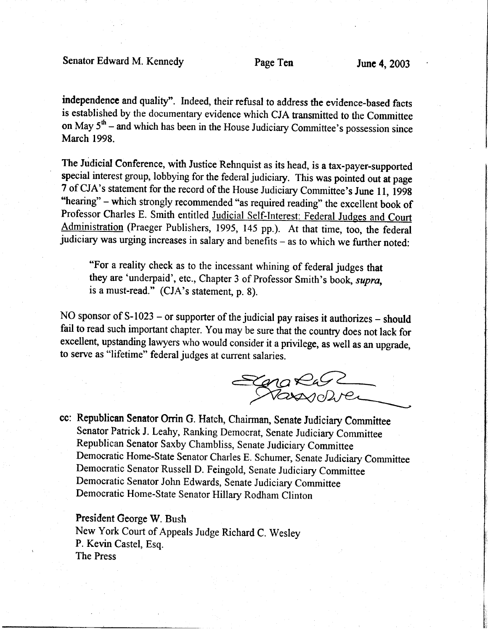Senator Edward M. Kennedy Page Ten June 4, 2003

independencc and quality". Indeed, their refusal to address the evidence-based facts is established by the documentary evidence which CJA tansmitted to the Committee on May  $5<sup>th</sup>$  - and which has been in the House Judiciary Committee's possession since March 1998.

The Judicial Conference, with Justice Rehnquist as its head, is a tax-payer-supported special interest group, lobbying for the federal judiciary. This was pointed out at page 7 of CJA's statement for the record of the House Judiciary Committee's June 11, 1998 "hearing" – which strongly recommended "as required reading" the excellent book of Professor Charles E. Smith entitled Judicial Self-Interest: Federal Judges and Court Administration (Praeger Publishers, 1995, 145 pp.). At that time, too, the federal judiciary was urging increases in salary and benefits - as to which we further noted:

"For a reality check as to the incessant whining of federal judges that they are 'underpaid', etc., Chapter 3 of Professor Smith's book, supra, is a must-read." (CJA's statement, p. S).

NO sponsor of S-1023 – or supporter of the judicial pay raises it authorizes – should fail to read such important chapter. You may be sure that the country does not lack for excellent, upstanding lawyers who would consider it a privilege, as well as an upgrade, to serve as "lifetime" federal judges at current salaries.

Sena Ras

i ti. ti,

cc: Republican Senator Orrin G. Hatch, Chairman, Senate Judiciary Committee Senator Patrick J. Leahy, Ranking Democrat, Senate Judiciary Committee Republican senator Saxby chambliss, Senate Judiciary committee Democratic Home-State Senator Charles E. Schumer, Senate Judiciary Committee Democratic Senator Russell D. Feingold, Senate Judiciary committee Democratic Senator John Edwards, senate Judiciary committee Democratic Home-State Senator Hillary Rodham Clinton

#### President George W. Bush

New York Court of Appeals Judge Richard C. Wesley P. Kevin Castel, Esq. The Press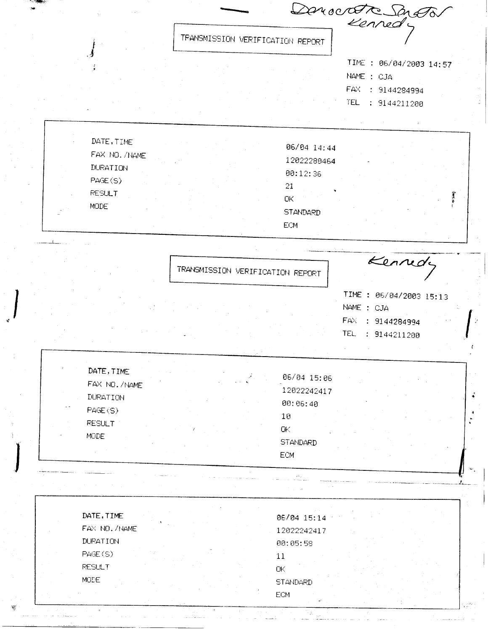|                              | Denocotre Sengton                |                            |                                       |  |
|------------------------------|----------------------------------|----------------------------|---------------------------------------|--|
|                              | TRANSMISSION VERIFICATION REPORT |                            |                                       |  |
|                              |                                  |                            | TIME: 06/04/2003 14:57<br>NAME : CJA  |  |
|                              |                                  |                            | FAX : 9144284994<br>TEL : 9144211200  |  |
| DATE, TIME                   |                                  |                            |                                       |  |
| FAX NO. /NAME                |                                  | 06/04 14:44<br>12022280464 |                                       |  |
| <b>DURATION</b><br>PAGE(S)   |                                  | 00:12:36<br>21             |                                       |  |
| <b>RESULT</b><br>MODE        |                                  | <b>OK</b>                  |                                       |  |
|                              |                                  | <b>STANDARD</b><br>ECM     |                                       |  |
|                              |                                  |                            |                                       |  |
|                              | TRANSMISSION VERIFICATION REPORT |                            | Kennedy                               |  |
|                              |                                  |                            | TIME : 06/04/2003 15:13<br>NAME : CJA |  |
|                              |                                  |                            | FAX : 9144284994<br>TEL : 9144211200  |  |
| DATE, TIME                   |                                  |                            |                                       |  |
| FAX NO. /NAME                |                                  | 06/04 15:06<br>12022242417 |                                       |  |
| DURATION<br>PAGE(S)          |                                  | 00:06:40<br>$1\,$          |                                       |  |
| <b>RESULT</b><br><b>MODE</b> |                                  | $\mathsf{OK}$              |                                       |  |
|                              |                                  | STANDARD<br><b>ECM</b>     |                                       |  |
|                              |                                  |                            |                                       |  |
|                              |                                  |                            |                                       |  |
|                              |                                  |                            |                                       |  |
| DATE, TIME<br>FAX NO. /NAME  |                                  | 06/04 15:14<br>12022242417 |                                       |  |
| DURATION<br>PAGE(S)          |                                  | 00:05:58<br>11             |                                       |  |

 $\mathbf{\hat{i}}$ 

 $\frac{1}{\sqrt{2}}$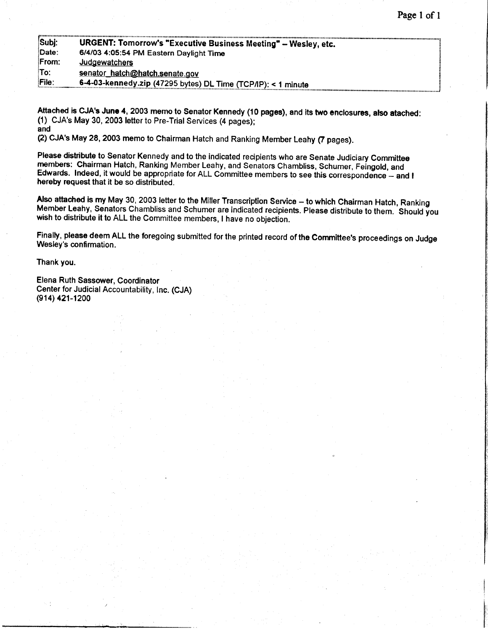| Subi:        | <b>URGENT: Tomorrow's "Executive Business Meeting" - Wesley, etc.</b> |  |
|--------------|-----------------------------------------------------------------------|--|
| Date:        | 6/4/03 4:05:54 PM Eastern Daylight Time                               |  |
| From:        | <u>Judgewatchers</u>                                                  |  |
| To:          | senator_hatch@hatch.senate.gov                                        |  |
| <b>File:</b> | 6-4-03-kennedy.zip (47295 bytes) DL Time (TCP/IP): < 1 minute         |  |

Attached is CJA's June 4, 2003 memo to Senator Kennedy (10 pages), and its two enclosures, also atached: (1) CJA's May 30, 2003 letter to Pre-Trial Services (4 pages); and

(2) cJA's May 28,2003 memo to chairman Hatch and Ranking Member Leahy (f pages).

Please distribute to Senator Kennedy and to the indicated recipients who are Senate Judiciary Committee members: Chairman Hatch, Ranking Member Leahy, and Senators Chambliss, Schumer, Feingold, and Edwards. Indeed, it woul hereby request that it be so distributed.

Also attached is my May 30, 2003 letter to the Miller Transcription Service -- to which Chairman Hatch, Ranking<br>Member Leahy, Senators Chambliss and Schumer are indicated recipients. Please distribute to them. Should you<br>w

Finally, please deem ALL the foregoing submitted for the printed record of the Committee's proceedings on Judge Wesley's confirmation.

Thank you.

Elena Ruth Sassower, Coordinator Center for Judicial Accountability, Inc. (CJA) (e14) 421-1200